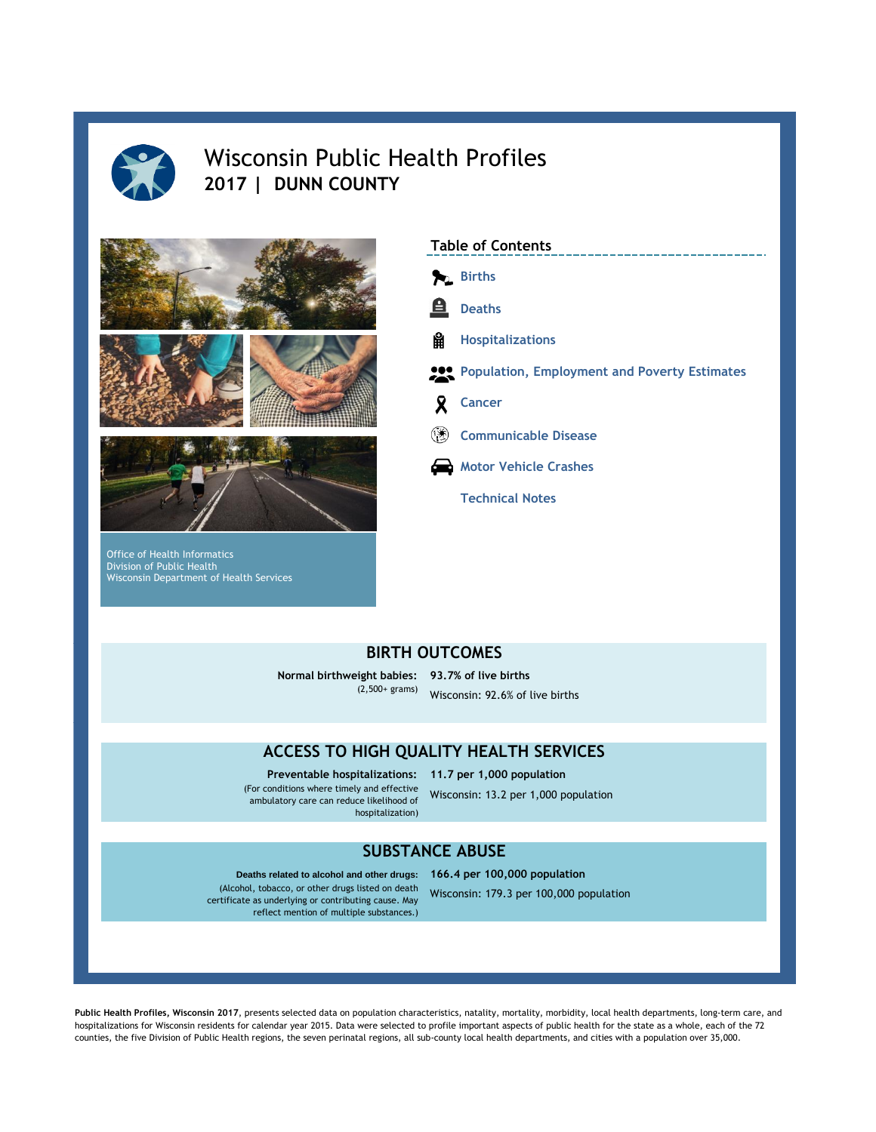

# Wisconsin Public Health Profiles **2017 | DUNN COUNTY**



Office of Health Informatics Division of Public Health Wisconsin Department of Health Services



# **BIRTH OUTCOMES**

**Normal birthweight babies: 93.7% of live births** Wisconsin: 92.6% of live births (2,500+ grams)

# **ACCESS TO HIGH QUALITY HEALTH SERVICES**

**Preventable hospitalizations: 11.7 per 1,000 population**  (For conditions where timely and effective ambulatory care can reduce likelihood of hospitalization)

Wisconsin: 13.2 per 1,000 population

## **SUBSTANCE ABUSE**

Deaths related to alcohol and other drugs: 166.4 per 100,000 population (Alcohol, tobacco, or other drugs listed on death certificate as underlying or contributing cause. May reflect mention of multiple substances.)

Wisconsin: 179.3 per 100,000 population

**Public Health Profiles, Wisconsin 2017**, presents selected data on population characteristics, natality, mortality, morbidity, local health departments, long-term care, and hospitalizations for Wisconsin residents for calendar year 2015. Data were selected to profile important aspects of public health for the state as a whole, each of the 72 counties, the five Division of Public Health regions, the seven perinatal regions, all sub-county local health departments, and cities with a population over 35,000.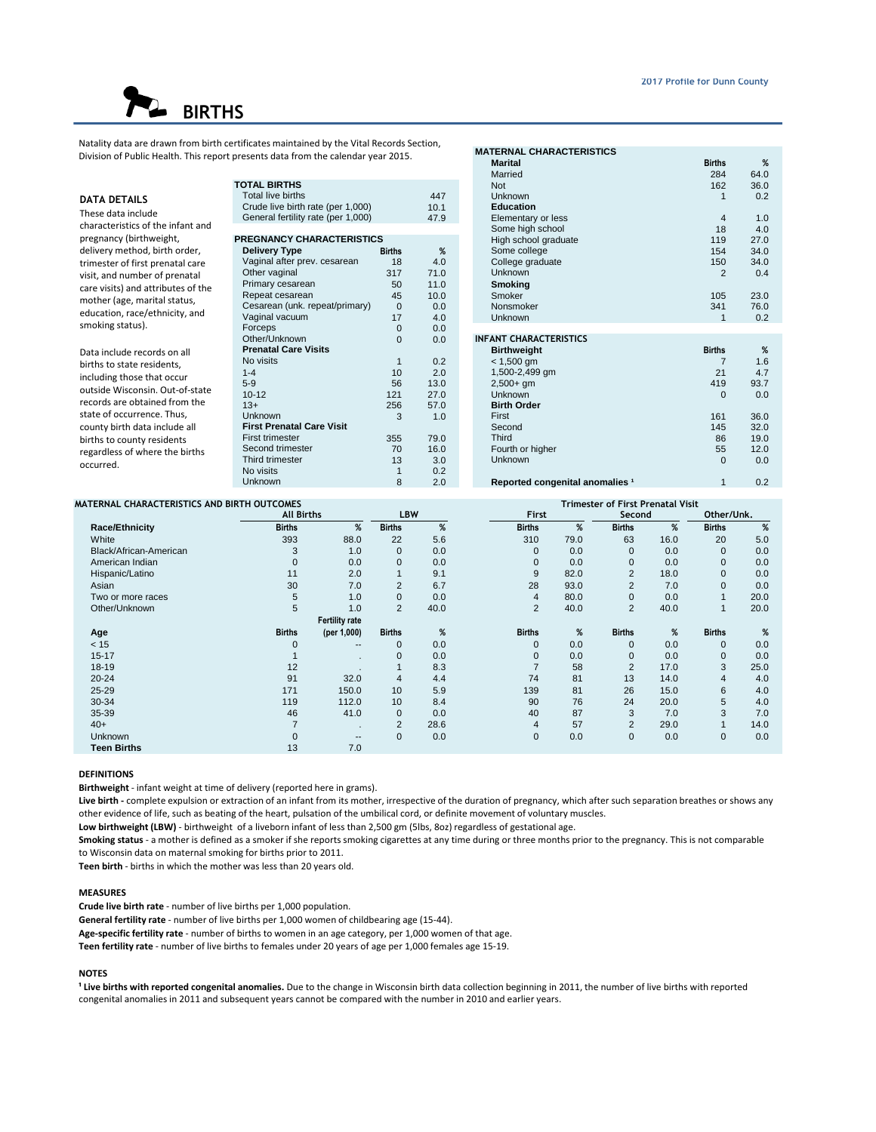# **BIRTHS**

Natality data are drawn from birth certificates maintained by the Vital Records Section, Division of Public Health. This report presents data from the calendar year 2015.

| <b>DATA DETAILS</b><br>These data include<br>characteristics of the infant and                                                                                                                                                                                                                          | <b>TOTAL BIRTHS</b><br>Total live births<br>Crude live birth rate (per 1,000)<br>General fertility rate (per 1,000)                                                                                                                         |                                                                             | 447<br>10.1<br>47.9                                                                   | Not<br>Unknown<br><b>Education</b><br>Elementary<br>Some high s                                                                                                                                        |
|---------------------------------------------------------------------------------------------------------------------------------------------------------------------------------------------------------------------------------------------------------------------------------------------------------|---------------------------------------------------------------------------------------------------------------------------------------------------------------------------------------------------------------------------------------------|-----------------------------------------------------------------------------|---------------------------------------------------------------------------------------|--------------------------------------------------------------------------------------------------------------------------------------------------------------------------------------------------------|
| pregnancy (birthweight,<br>delivery method, birth order,<br>trimester of first prenatal care<br>visit, and number of prenatal<br>care visits) and attributes of the<br>mother (age, marital status,<br>education, race/ethnicity, and<br>smoking status).                                               | PREGNANCY CHARACTERISTICS<br><b>Delivery Type</b><br>Vaginal after prev. cesarean<br>Other vaginal<br>Primary cesarean<br>Repeat cesarean<br>Cesarean (unk. repeat/primary)<br>Vaginal vacuum<br>Forceps                                    | <b>Births</b><br>18<br>317<br>50<br>45<br>$\mathbf 0$<br>17<br>$\mathbf{0}$ | %<br>4.0<br>71.0<br>11.0<br>10.0<br>0.0<br>4.0<br>0.0                                 | High school<br>Some colleg<br>College gra<br><b>Unknown</b><br><b>Smoking</b><br>Smoker<br>Nonsmoker<br><b>Unknown</b>                                                                                 |
| Data include records on all<br>births to state residents,<br>including those that occur<br>outside Wisconsin, Out-of-state<br>records are obtained from the<br>state of occurrence. Thus,<br>county birth data include all<br>births to county residents<br>regardless of where the births<br>occurred. | Other/Unknown<br><b>Prenatal Care Visits</b><br>No visits<br>$1 - 4$<br>$5-9$<br>$10 - 12$<br>$13+$<br>Unknown<br><b>First Prenatal Care Visit</b><br><b>First trimester</b><br>Second trimester<br>Third trimester<br>No visits<br>Unknown | $\Omega$<br>1<br>10<br>56<br>121<br>256<br>3<br>355<br>70<br>13<br>1<br>8   | 0.0<br>0.2<br>2.0<br>13.0<br>27.0<br>57.0<br>1.0<br>79.0<br>16.0<br>3.0<br>0.2<br>2.0 | <b>INFANT CHARA</b><br><b>Birthweight</b><br>$< 1,500$ gm<br>1,500-2,499<br>$2.500 + am$<br>Unknown<br><b>Birth Order</b><br>First<br>Second<br>Third<br>Fourth or hig<br><b>Unknown</b><br>Reported c |

|                                          |               |      | <b>MATERNAL CHARACTERISTICS</b>            |                |      |
|------------------------------------------|---------------|------|--------------------------------------------|----------------|------|
| esents data from the calendar year 2015. |               |      | <b>Marital</b>                             | <b>Births</b>  | %    |
|                                          |               |      | Married                                    | 284            | 64.0 |
| <b>DTAL BIRTHS</b>                       |               |      | <b>Not</b>                                 | 162            | 36.0 |
| Total live births                        |               | 447  | Unknown                                    | 1              | 0.2  |
| Crude live birth rate (per 1,000)        |               | 10.1 | <b>Education</b>                           |                |      |
| General fertility rate (per 1,000)       |               | 47.9 | Elementary or less                         | 4              | 1.0  |
|                                          |               |      | Some high school                           | 18             | 4.0  |
| <b>REGNANCY CHARACTERISTICS</b>          |               |      | High school graduate                       | 119            | 27.0 |
| <b>Delivery Type</b>                     | <b>Births</b> | %    | Some college                               | 154            | 34.0 |
| Vaginal after prev. cesarean             | 18            | 4.0  | College graduate                           | 150            | 34.0 |
| Other vaginal                            | 317           | 71.0 | <b>Unknown</b>                             | $\overline{2}$ | 0.4  |
| Primary cesarean                         | 50            | 11.0 | <b>Smoking</b>                             |                |      |
| Repeat cesarean                          | 45            | 10.0 | Smoker                                     | 105            | 23.0 |
| Cesarean (unk. repeat/primary)           | $\Omega$      | 0.0  | Nonsmoker                                  | 341            | 76.0 |
| Vaginal vacuum                           | 17            | 4.0  | Unknown                                    | 1              | 0.2  |
| Forceps                                  | $\mathbf{0}$  | 0.0  |                                            |                |      |
| Other/Unknown                            | $\Omega$      | 0.0  | <b>INFANT CHARACTERISTICS</b>              |                |      |
| <b>Prenatal Care Visits</b>              |               |      | <b>Birthweight</b>                         | <b>Births</b>  | %    |
| No visits                                | 1             | 0.2  | $< 1,500$ gm                               | 7              | 1.6  |
| $1 - 4$                                  | 10            | 2.0  | 1,500-2,499 gm                             | 21             | 4.7  |
| $5-9$                                    | 56            | 13.0 | $2.500 + am$                               | 419            | 93.7 |
| $10 - 12$                                | 121           | 27.0 | Unknown                                    | $\Omega$       | 0.0  |
| $13+$                                    | 256           | 57.0 | <b>Birth Order</b>                         |                |      |
| Unknown                                  | 3             | 1.0  | First                                      | 161            | 36.0 |
| <b>First Prenatal Care Visit</b>         |               |      | Second                                     | 145            | 32.0 |
| First trimester                          | 355           | 79.0 | Third                                      | 86             | 19.0 |
| Second trimester                         | 70            | 16.0 | Fourth or higher                           | 55             | 12.0 |
| Third trimester                          | 13            | 3.0  | Unknown                                    | $\Omega$       | 0.0  |
| No visits                                |               | 0.2  |                                            |                |      |
| Unknown                                  | 8             | 2.0  | Reported congenital anomalies <sup>1</sup> | $\mathbf{1}$   | 0.2  |

## **MATERNAL CHARACTERISTICS AND BIRTH OUTCOMES**

| ATERNAL CHARACTERISTICS AND BIRTH OUTCOMES |                   |                       |                |      |                |      | <b>Trimester of First Prenatal Visit</b> |      |               |      |
|--------------------------------------------|-------------------|-----------------------|----------------|------|----------------|------|------------------------------------------|------|---------------|------|
|                                            | <b>All Births</b> |                       | <b>LBW</b>     |      | <b>First</b>   |      | Second                                   |      | Other/Unk.    |      |
| <b>Race/Ethnicity</b>                      | <b>Births</b>     | %                     | <b>Births</b>  | %    | <b>Births</b>  | %    | <b>Births</b>                            | %    | <b>Births</b> | %    |
| White                                      | 393               | 88.0                  | 22             | 5.6  | 310            | 79.0 | 63                                       | 16.0 | 20            | 5.0  |
| Black/African-American                     | 3                 | 1.0                   | $\mathbf{0}$   | 0.0  | 0              | 0.0  | $\Omega$                                 | 0.0  | $\mathbf 0$   | 0.0  |
| American Indian                            | 0                 | 0.0                   | $\mathbf 0$    | 0.0  | 0              | 0.0  | 0                                        | 0.0  | $\mathbf{0}$  | 0.0  |
| Hispanic/Latino                            | 11                | 2.0                   |                | 9.1  | 9              | 82.0 | $\overline{2}$                           | 18.0 | $\mathbf{0}$  | 0.0  |
| Asian                                      | 30                | 7.0                   | $\overline{2}$ | 6.7  | 28             | 93.0 | $\overline{2}$                           | 7.0  | $\mathbf{0}$  | 0.0  |
| Two or more races                          | 5                 | 1.0                   | $\mathbf{0}$   | 0.0  | 4              | 80.0 | $\mathbf{0}$                             | 0.0  |               | 20.0 |
| Other/Unknown                              | 5                 | 1.0                   | 2              | 40.0 | $\overline{2}$ | 40.0 | $\overline{2}$                           | 40.0 |               | 20.0 |
|                                            |                   | <b>Fertility rate</b> |                |      |                |      |                                          |      |               |      |
| Age                                        | <b>Births</b>     | (per 1,000)           | <b>Births</b>  | %    | <b>Births</b>  | %    | <b>Births</b>                            | %    | <b>Births</b> | %    |
| < 15                                       | 0                 | $- -$                 | $\mathbf{0}$   | 0.0  | $\Omega$       | 0.0  | 0                                        | 0.0  | $\mathbf{0}$  | 0.0  |
| $15 - 17$                                  |                   |                       | $\mathbf{0}$   | 0.0  | 0              | 0.0  | $\Omega$                                 | 0.0  | $\mathbf 0$   | 0.0  |
| 18-19                                      | 12                |                       |                | 8.3  | $\overline{7}$ | 58   | $\overline{2}$                           | 17.0 | 3             | 25.0 |
| $20 - 24$                                  | 91                | 32.0                  | $\overline{4}$ | 4.4  | 74             | 81   | 13                                       | 14.0 | 4             | 4.0  |
| $25 - 29$                                  | 171               | 150.0                 | 10             | 5.9  | 139            | 81   | 26                                       | 15.0 | 6             | 4.0  |
| 30-34                                      | 119               | 112.0                 | 10             | 8.4  | 90             | 76   | 24                                       | 20.0 | 5             | 4.0  |
| 35-39                                      | 46                | 41.0                  | $\mathbf{0}$   | 0.0  | 40             | 87   | 3                                        | 7.0  | 3             | 7.0  |
| $40+$                                      | $\overline{ }$    | $\cdot$               | 2              | 28.6 | 4              | 57   | $\overline{2}$                           | 29.0 |               | 14.0 |
| <b>Unknown</b>                             | $\Omega$          | $- -$                 | $\mathbf{0}$   | 0.0  | $\Omega$       | 0.0  | $\mathbf{0}$                             | 0.0  | $\mathbf{0}$  | 0.0  |
| <b>Teen Births</b>                         | 13                | 7.0                   |                |      |                |      |                                          |      |               |      |

#### **DEFINITIONS**

**Birthweight** - infant weight at time of delivery (reported here in grams).

**Live birth -** complete expulsion or extraction of an infant from its mother, irrespective of the duration of pregnancy, which after such separation breathes or shows any other evidence of life, such as beating of the heart, pulsation of the umbilical cord, or definite movement of voluntary muscles.

**Low birthweight (LBW)** - birthweight of a liveborn infant of less than 2,500 gm (5lbs, 8oz) regardless of gestational age.

**Smoking status** - a mother is defined as a smoker if she reports smoking cigarettes at any time during or three months prior to the pregnancy. This is not comparable to Wisconsin data on maternal smoking for births prior to 2011.

**Teen birth** - births in which the mother was less than 20 years old.

#### **MEASURES**

**Crude live birth rate** - number of live births per 1,000 population.

**General fertility rate** - number of live births per 1,000 women of childbearing age (15-44).

**Age-specific fertility rate** - number of births to women in an age category, per 1,000 women of that age.

**Teen fertility rate** - number of live births to females under 20 years of age per 1,000 females age 15-19.

## **NOTES**

**¹ Live births with reported congenital anomalies.** Due to the change in Wisconsin birth data collection beginning in 2011, the number of live births with reported congenital anomalies in 2011 and subsequent years cannot be compared with the number in 2010 and earlier years.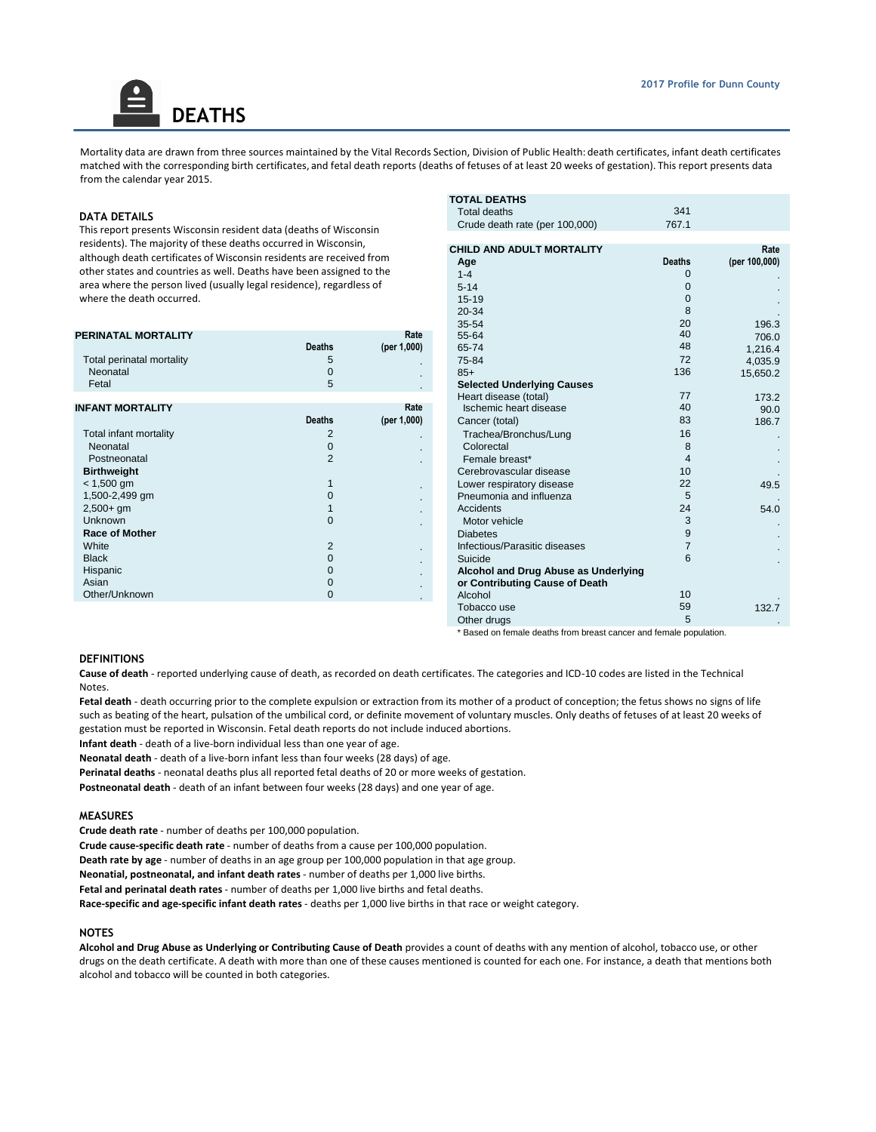Mortality data are drawn from three sources maintained by the Vital Records Section, Division of Public Health: death certificates, infant death certificates matched with the corresponding birth certificates, and fetal death reports (deaths of fetuses of at least 20 weeks of gestation). This report presents data from the calendar year 2015.

#### **DATA DETAILS**

This report presents Wisconsin resident data (deaths of Wisconsin residents). The majority of these deaths occurred in Wisconsin, although death certificates of Wisconsin residents are received from other states and countries as well. Deaths have been assigned to the area where the person lived (usually legal residence), regardless of where the death occurred.

**DEATHS**

|                           |               |             |                                      |              | .        |
|---------------------------|---------------|-------------|--------------------------------------|--------------|----------|
| PERINATAL MORTALITY       |               | Rate        | 55-64                                | 40           | 706.0    |
|                           | <b>Deaths</b> | (per 1,000) | 65-74                                | 48           | 1,216.4  |
| Total perinatal mortality |               |             | 75-84                                | 72           | 4,035.9  |
| Neonatal                  |               | $\sim$      | $85+$                                | 136          | 15,650.2 |
| Fetal                     | 5             |             | <b>Selected Underlying Causes</b>    |              |          |
|                           |               |             | Heart disease (total)                | 77           | 173.2    |
| <b>INFANT MORTALITY</b>   |               | Rate        | Ischemic heart disease               | 40           | 90.0     |
|                           | <b>Deaths</b> | (per 1,000) | Cancer (total)                       | 83           | 186.7    |
| Total infant mortality    |               |             | Trachea/Bronchus/Lung                | 16           |          |
| Neonatal                  |               |             | Colorectal                           |              |          |
| Postneonatal              |               |             | Female breast*                       |              |          |
| <b>Birthweight</b>        |               |             | Cerebrovascular disease              | 10           |          |
| $< 1,500$ gm              |               |             | Lower respiratory disease            | 22           | 49.5     |
| 1,500-2,499 gm            |               |             | Pneumonia and influenza              | 5            |          |
| $2,500+gm$                |               |             | Accidents                            | 24           | 54.0     |
| <b>Unknown</b>            | 0             |             | Motor vehicle                        |              |          |
| <b>Race of Mother</b>     |               |             | <b>Diabetes</b>                      |              |          |
| White                     |               |             | Infectious/Parasitic diseases        |              |          |
| <b>Black</b>              |               |             | Suicide                              | 6            |          |
| Hispanic                  |               |             | Alcohol and Drug Abuse as Underlying |              |          |
| Asian                     |               |             | or Contributing Cause of Death       |              |          |
| Other/Unknown             | 0             | $\sim$      | Alcohol                              | 10           |          |
|                           |               |             | T-1----- -                           | $E^{\wedge}$ | $100 -$  |

| ths of Wisconsin                                                               |                     | <b>TOTAL DEATHS</b><br><b>Total deaths</b><br>Crude death rate (per 100,000)                                                  | 341<br>767.1                                                     |                                         |
|--------------------------------------------------------------------------------|---------------------|-------------------------------------------------------------------------------------------------------------------------------|------------------------------------------------------------------|-----------------------------------------|
| in Wisconsin,<br>are received from<br>en assigned to the<br>ce), regardless of |                     | CHILD AND ADULT MORTALITY<br>Age<br>$1 - 4$<br>$5 - 14$<br>$15 - 19$<br>20-34<br>35-54                                        | <b>Deaths</b><br>$\mathbf{0}$<br>$\Omega$<br>$\Omega$<br>8<br>20 | Rate<br>(per 100,000)<br>196.3          |
| <b>Deaths</b><br>5<br>$\mathbf 0$<br>5                                         | Rate<br>(per 1,000) | 55-64<br>65-74<br>75-84<br>$85+$<br><b>Selected Underlying Causes</b>                                                         | 40<br>48<br>72<br>136                                            | 706.0<br>1,216.4<br>4,035.9<br>15,650.2 |
|                                                                                |                     | Heart disease (total)                                                                                                         | 77                                                               | 173.2                                   |
| <b>Deaths</b>                                                                  | Rate<br>(per 1,000) | Ischemic heart disease<br>Cancer (total)                                                                                      | 40<br>83                                                         | 90.0<br>186.7                           |
| 2<br>$\mathbf 0$<br>$\overline{2}$<br>1                                        |                     | Trachea/Bronchus/Lung<br>Colorectal<br>Female breast*<br>Cerebrovascular disease<br>Lower respiratory disease                 | 16<br>8<br>$\overline{4}$<br>10<br>22                            | 49.5                                    |
| 0                                                                              |                     | Pneumonia and influenza                                                                                                       | 5                                                                |                                         |
| $\mathbf{1}$<br>$\Omega$                                                       |                     | Accidents<br>Motor vehicle<br><b>Diabetes</b>                                                                                 | 24<br>3<br>9                                                     | 54.0                                    |
| $\overline{2}$<br>$\mathbf 0$<br>$\mathbf 0$<br>$\mathbf 0$<br>$\Omega$        |                     | Infectious/Parasitic diseases<br>Suicide<br>Alcohol and Drug Abuse as Underlying<br>or Contributing Cause of Death<br>Alcohol | $\overline{7}$<br>6<br>10                                        |                                         |
|                                                                                |                     | Tobacco use<br>Other drugs                                                                                                    | 59<br>5                                                          | 132.7                                   |

\* Based on female deaths from breast cancer and female population.

## **DEFINITIONS**

**Cause of death** - reported underlying cause of death, as recorded on death certificates. The categories and ICD-10 codes are listed in the Technical Notes.

Fetal death - death occurring prior to the complete expulsion or extraction from its mother of a product of conception; the fetus shows no signs of life such as beating of the heart, pulsation of the umbilical cord, or definite movement of voluntary muscles. Only deaths of fetuses of at least 20 weeks of gestation must be reported in Wisconsin. Fetal death reports do not include induced abortions.

**Infant death** - death of a live-born individual less than one year of age.

**Neonatal death** - death of a live-born infant less than four weeks (28 days) of age.

**Perinatal deaths** - neonatal deaths plus all reported fetal deaths of 20 or more weeks of gestation. **Postneonatal death** - death of an infant between four weeks (28 days) and one year of age.

#### **MEASURES**

**Crude death rate** - number of deaths per 100,000 population.

**Crude cause-specific death rate** - number of deaths from a cause per 100,000 population.

**Death rate by age** - number of deaths in an age group per 100,000 population in that age group.

**Neonatial, postneonatal, and infant death rates** - number of deaths per 1,000 live births.

**Fetal and perinatal death rates** - number of deaths per 1,000 live births and fetal deaths.

**Race-specific and age-specific infant death rates** - deaths per 1,000 live births in that race or weight category.

#### **NOTES**

**Alcohol and Drug Abuse as Underlying or Contributing Cause of Death** provides a count of deaths with any mention of alcohol, tobacco use, or other drugs on the death certificate. A death with more than one of these causes mentioned is counted for each one. For instance, a death that mentions both alcohol and tobacco will be counted in both categories.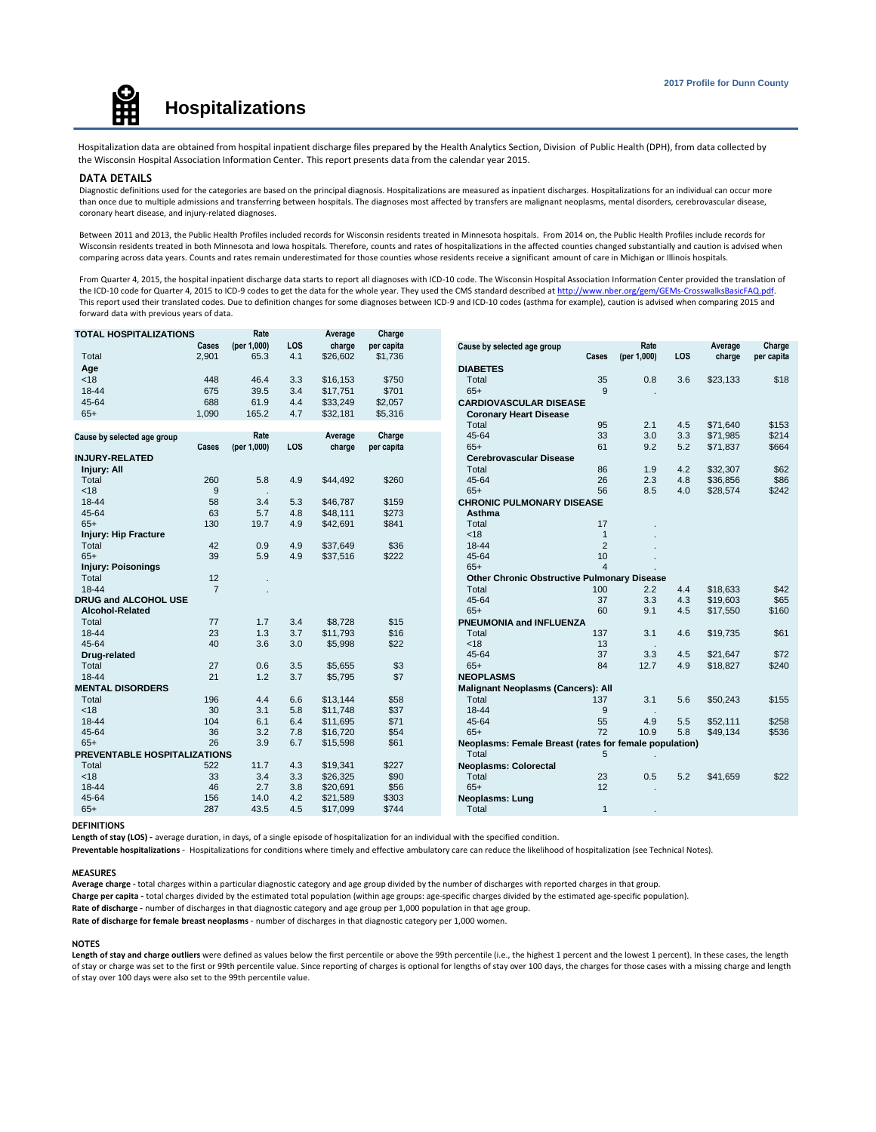

Hospitalization data are obtained from hospital inpatient discharge files prepared by the Health Analytics Section, Division of Public Health (DPH), from data collected by the Wisconsin Hospital Association Information Center. This report presents data from the calendar year 2015.

#### **DATA DETAILS**

Diagnostic definitions used for the categories are based on the principal diagnosis. Hospitalizations are measured as inpatient discharges. Hospitalizations for an individual can occur more than once due to multiple admissions and transferring between hospitals. The diagnoses most affected by transfers are malignant neoplasms, mental disorders, cerebrovascular disease, coronary heart disease, and injury-related diagnoses.

Between 2011 and 2013, the Public Health Profiles included records for Wisconsin residents treated in Minnesota hospitals. From 2014 on, the Public Health Profiles include records for Wisconsin residents treated in both Minnesota and Iowa hospitals. Therefore, counts and rates of hospitalizations in the affected counties changed substantially and caution is advised when comparing across data years. Counts and rates remain underestimated for those counties whose residents receive a significant amount of care in Michigan or Illinois hospitals.

From Quarter 4, 2015, the hospital inpatient discharge data starts to report all diagnoses with ICD-10 code. The Wisconsin Hospital Association Information Center provided the translation of the ICD-10 code for Quarter 4, 2015 to ICD-9 codes to get the data for the whole year. They used the CMS standard described at http://www.nber.org/gem/GEMs-CrosswalksBasicFAQ.pdf. This report used their translated codes. Due to definition changes for some diagnoses between ICD-9 and ICD-10 codes (asthma for example), caution is advised when comparing 2015 and forward data with previous years of data.

| <b>TOTAL HOSPITALIZATIONS</b> |                | Rate        |            | Average  | Charge     |                                                        |                |             |            |          |            |
|-------------------------------|----------------|-------------|------------|----------|------------|--------------------------------------------------------|----------------|-------------|------------|----------|------------|
|                               | Cases          | (per 1,000) | LOS        | charge   | per capita | Cause by selected age group                            |                | Rate        |            | Average  | Charge     |
| Total                         | 2,901          | 65.3        | 4.1        | \$26.602 | \$1,736    |                                                        | Cases          | (per 1,000) | <b>LOS</b> | charge   | per capita |
| Age                           |                |             |            |          |            | <b>DIABETES</b>                                        |                |             |            |          |            |
| < 18                          | 448            | 46.4        | 3.3        | \$16.153 | \$750      | Total                                                  | 35             | 0.8         | 3.6        | \$23,133 | \$18       |
| 18-44                         | 675            | 39.5        | 3.4        | \$17,751 | \$701      | $65+$                                                  | 9              |             |            |          |            |
| 45-64                         | 688            | 61.9        | 4.4        | \$33,249 | \$2,057    | <b>CARDIOVASCULAR DISEASE</b>                          |                |             |            |          |            |
| $65+$                         | 1,090          | 165.2       | 4.7        | \$32,181 | \$5,316    | <b>Coronary Heart Disease</b>                          |                |             |            |          |            |
|                               |                |             |            |          |            | Total                                                  | 95             | 2.1         | 4.5        | \$71.640 | \$153      |
| Cause by selected age group   |                | Rate        |            | Average  | Charge     | 45-64                                                  | 33             | 3.0         | 3.3        | \$71,985 | \$214      |
|                               | Cases          | (per 1,000) | <b>LOS</b> | charge   | per capita | $65+$                                                  | 61             | 9.2         | 5.2        | \$71,837 | \$664      |
| <b>INJURY-RELATED</b>         |                |             |            |          |            | Cerebrovascular Disease                                |                |             |            |          |            |
| Injury: All                   |                |             |            |          |            | Total                                                  | 86             | 1.9         | 4.2        | \$32,307 | \$62       |
| Total                         | 260            | 5.8         | 4.9        | \$44,492 | \$260      | 45-64                                                  | 26             | 2.3         | 4.8        | \$36,856 | \$86       |
| < 18                          | 9              |             |            |          |            | $65+$                                                  | 56             | 8.5         | 4.0        | \$28,574 | \$242      |
| 18-44                         | 58             | 3.4         | 5.3        | \$46,787 | \$159      | <b>CHRONIC PULMONARY DISEASE</b>                       |                |             |            |          |            |
| 45-64                         | 63             | 5.7         | 4.8        | \$48,111 | \$273      | Asthma                                                 |                |             |            |          |            |
| $65+$                         | 130            | 19.7        | 4.9        | \$42,691 | \$841      | Total                                                  | 17             |             |            |          |            |
| <b>Injury: Hip Fracture</b>   |                |             |            |          |            | <18                                                    | $\mathbf{1}$   |             |            |          |            |
| Total                         | 42             | 0.9         | 4.9        | \$37,649 | \$36       | 18-44                                                  | 2              |             |            |          |            |
| $65+$                         | 39             | 5.9         | 4.9        | \$37,516 | \$222      | 45-64                                                  | 10             |             |            |          |            |
| <b>Injury: Poisonings</b>     |                |             |            |          |            | $65+$                                                  | $\overline{4}$ |             |            |          |            |
| Total                         | 12             |             |            |          |            | Other Chronic Obstructive Pulmonary Disease            |                |             |            |          |            |
| 18-44                         | $\overline{7}$ |             |            |          |            | Total                                                  | 100            | 2.2         | 4.4        | \$18,633 | \$42       |
| DRUG and ALCOHOL USE          |                |             |            |          |            | 45-64                                                  | 37             | 3.3         | 4.3        | \$19,603 | \$65       |
| Alcohol-Related               |                |             |            |          |            | $65+$                                                  | 60             | 9.1         | 4.5        | \$17,550 | \$160      |
| Total                         | 77             | 1.7         | 3.4        | \$8.728  | \$15       | PNEUMONIA and INFLUENZA                                |                |             |            |          |            |
| 18-44                         | 23             | 1.3         | 3.7        | \$11,793 | \$16       | Total                                                  | 137            | 3.1         | 4.6        | \$19,735 | \$61       |
| 45-64                         | 40             | 3.6         | 3.0        | \$5,998  | \$22       | < 18                                                   | 13             |             |            |          |            |
| Drug-related                  |                |             |            |          |            | 45-64                                                  | 37             | 3.3         | 4.5        | \$21.647 | \$72       |
| Total                         | 27             | 0.6         | 3.5        | \$5,655  | \$3        | $65+$                                                  | 84             | 12.7        | 4.9        | \$18,827 | \$240      |
| 18-44                         | 21             | 1.2         | 3.7        | \$5,795  | \$7        | <b>NEOPLASMS</b>                                       |                |             |            |          |            |
| <b>MENTAL DISORDERS</b>       |                |             |            |          |            | <b>Malignant Neoplasms (Cancers): All</b>              |                |             |            |          |            |
| Total                         | 196            | 4.4         | 6.6        | \$13.144 | \$58       | Total                                                  | 137            | 3.1         | 5.6        | \$50,243 | \$155      |
| < 18                          | 30             | 3.1         | 5.8        | \$11,748 | \$37       | 18-44                                                  | 9              |             |            |          |            |
| 18-44                         | 104            | 6.1         | 6.4        | \$11,695 | \$71       | 45-64                                                  | 55             | 4.9         | 5.5        | \$52.111 | \$258      |
| 45-64                         | 36             | 3.2         | 7.8        | \$16,720 | \$54       | $65+$                                                  | 72             | 10.9        | 5.8        | \$49,134 | \$536      |
| $65+$                         | 26             | 3.9         | 6.7        | \$15,598 | \$61       | Neoplasms: Female Breast (rates for female population) |                |             |            |          |            |
| PREVENTABLE HOSPITALIZATIONS  |                |             |            |          |            | Total                                                  | 5              |             |            |          |            |
| Total                         | 522            | 11.7        | 4.3        | \$19,341 | \$227      | <b>Neoplasms: Colorectal</b>                           |                |             |            |          |            |
| < 18                          | 33             | 3.4         | 3.3        | \$26,325 | \$90       | Total                                                  | 23             | 0.5         | 5.2        | \$41,659 | \$22       |
| 18-44                         | 46             | 2.7         | 3.8        | \$20,691 | \$56       | $65+$                                                  | 12             |             |            |          |            |
| 45-64                         | 156            | 14.0        | 4.2        | \$21,589 | \$303      | <b>Neoplasms: Lung</b>                                 |                |             |            |          |            |
| $65+$                         | 287            | 43.5        | 4.5        | \$17,099 | \$744      | Total                                                  | $\mathbf{1}$   |             |            |          |            |

**DEFINITIONS**

**Length of stay (LOS) -** average duration, in days, of a single episode of hospitalization for an individual with the specified condition.

**Preventable hospitalizations** - Hospitalizations for conditions where timely and effective ambulatory care can reduce the likelihood of hospitalization (see Technical Notes).

#### **MEASURES**

**Average charge -** total charges within a particular diagnostic category and age group divided by the number of discharges with reported charges in that group.

**Charge per capita -** total charges divided by the estimated total population (within age groups: age-specific charges divided by the estimated age-specific population).

**Rate of discharge -** number of discharges in that diagnostic category and age group per 1,000 population in that age group.

**Rate of discharge for female breast neoplasms** - number of discharges in that diagnostic category per 1,000 women.

#### **NOTES**

Length of stay and charge outliers were defined as values below the first percentile or above the 99th percentile (i.e., the highest 1 percent and the lowest 1 percent). In these cases, the length of stay or charge was set to the first or 99th percentile value. Since reporting of charges is optional for lengths of stay over 100 days, the charges for those cases with a missing charge and length of stay over 100 days were also set to the 99th percentile value.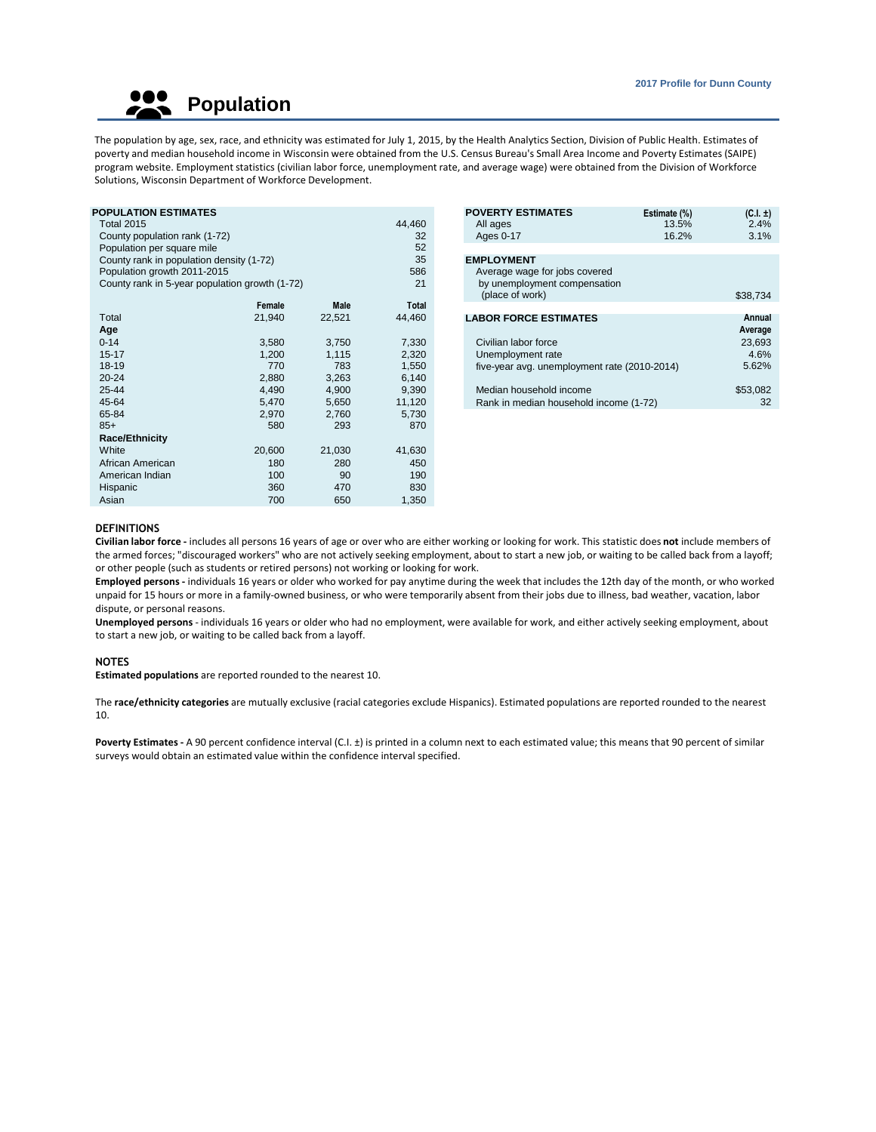**Population** 

The population by age, sex, race, and ethnicity was estimated for July 1, 2015, by the Health Analytics Section, Division of Public Health. Estimates of poverty and median household income in Wisconsin were obtained from the U.S. Census Bureau's Small Area Income and Poverty Estimates (SAIPE) program website. Employment statistics (civilian labor force, unemployment rate, and average wage) were obtained from the Division of Workforce Solutions, Wisconsin Department of Workforce Development.

| POPULATION ESTIMATES                           |        |        |              | <b>POVERTY ESTIMATES</b>                     | Estimate (%) | $(C.I. \pm)$ |
|------------------------------------------------|--------|--------|--------------|----------------------------------------------|--------------|--------------|
| <b>Total 2015</b>                              |        |        | 44,460       | All ages                                     | 13.5%        | 2.4%         |
| County population rank (1-72)                  |        |        | 32           | Ages 0-17                                    | 16.2%        | 3.1%         |
| Population per square mile                     |        |        | 52           |                                              |              |              |
| County rank in population density (1-72)       |        |        | 35           | <b>EMPLOYMENT</b>                            |              |              |
| Population growth 2011-2015                    |        |        | 586          | Average wage for jobs covered                |              |              |
| County rank in 5-year population growth (1-72) |        |        | 21           | by unemployment compensation                 |              |              |
|                                                |        |        |              | (place of work)                              |              | \$38,734     |
|                                                | Female | Male   | <b>Total</b> |                                              |              |              |
| Total                                          | 21,940 | 22,521 | 44,460       | <b>LABOR FORCE ESTIMATES</b>                 |              | Annual       |
| Age                                            |        |        |              |                                              |              | Average      |
| $0 - 14$                                       | 3,580  | 3,750  | 7,330        | Civilian labor force                         |              | 23,693       |
| $15 - 17$                                      | 1,200  | 1,115  | 2,320        | Unemployment rate                            |              | 4.6%         |
| 18-19                                          | 770    | 783    | 1,550        | five-year avg. unemployment rate (2010-2014) |              | 5.62%        |
| $20 - 24$                                      | 2,880  | 3,263  | 6,140        |                                              |              |              |
| 25-44                                          | 4,490  | 4,900  | 9,390        | Median household income                      |              | \$53,082     |
| 45-64                                          | 5,470  | 5,650  | 11,120       | Rank in median household income (1-72)       |              | 32           |
| 65-84                                          | 2,970  | 2,760  | 5,730        |                                              |              |              |
| $85+$                                          | 580    | 293    | 870          |                                              |              |              |
| <b>Race/Ethnicity</b>                          |        |        |              |                                              |              |              |
| White                                          | 20,600 | 21,030 | 41,630       |                                              |              |              |
| African American                               | 180    | 280    | 450          |                                              |              |              |
| American Indian                                | 100    | 90     | 190          |                                              |              |              |
| Hispanic                                       | 360    | 470    | 830          |                                              |              |              |
| Asian                                          | 700    | 650    | 1,350        |                                              |              |              |

|     | <b>POVERTY ESTIMATES</b>                     | Estimate (%) | $(C.I. \pm)$ |
|-----|----------------------------------------------|--------------|--------------|
| 60  | All ages                                     | 13.5%        | 2.4%         |
| 32  | Ages 0-17                                    | 16.2%        | 3.1%         |
| 52  |                                              |              |              |
| 35  | <b>EMPLOYMENT</b>                            |              |              |
| 86  | Average wage for jobs covered                |              |              |
| 21  | by unemployment compensation                 |              |              |
|     | (place of work)                              |              | \$38,734     |
| tal |                                              |              |              |
| 60  | <b>LABOR FORCE ESTIMATES</b>                 |              | Annual       |
|     |                                              |              | Average      |
| 30  | Civilian labor force                         |              | 23,693       |
| 20  | Unemployment rate                            |              | 4.6%         |
| 50  | five-year avg. unemployment rate (2010-2014) |              | 5.62%        |
| 40  |                                              |              |              |
| 90  | Median household income                      |              | \$53,082     |
| 20  | Rank in median household income (1-72)       |              | 32           |
|     |                                              |              |              |

## **DEFINITIONS**

**Civilian labor force -** includes all persons 16 years of age or over who are either working or looking for work. This statistic does **not** include members of the armed forces; "discouraged workers" who are not actively seeking employment, about to start a new job, or waiting to be called back from a layoff; or other people (such as students or retired persons) not working or looking for work.

**Employed persons -** individuals 16 years or older who worked for pay anytime during the week that includes the 12th day of the month, or who worked unpaid for 15 hours or more in a family-owned business, or who were temporarily absent from their jobs due to illness, bad weather, vacation, labor dispute, or personal reasons.

**Unemployed persons** - individuals 16 years or older who had no employment, were available for work, and either actively seeking employment, about to start a new job, or waiting to be called back from a layoff.

## **NOTES**

**Estimated populations** are reported rounded to the nearest 10.

The **race/ethnicity categories** are mutually exclusive (racial categories exclude Hispanics). Estimated populations are reported rounded to the nearest 10.

Poverty Estimates - A 90 percent confidence interval (C.I. ±) is printed in a column next to each estimated value; this means that 90 percent of similar surveys would obtain an estimated value within the confidence interval specified.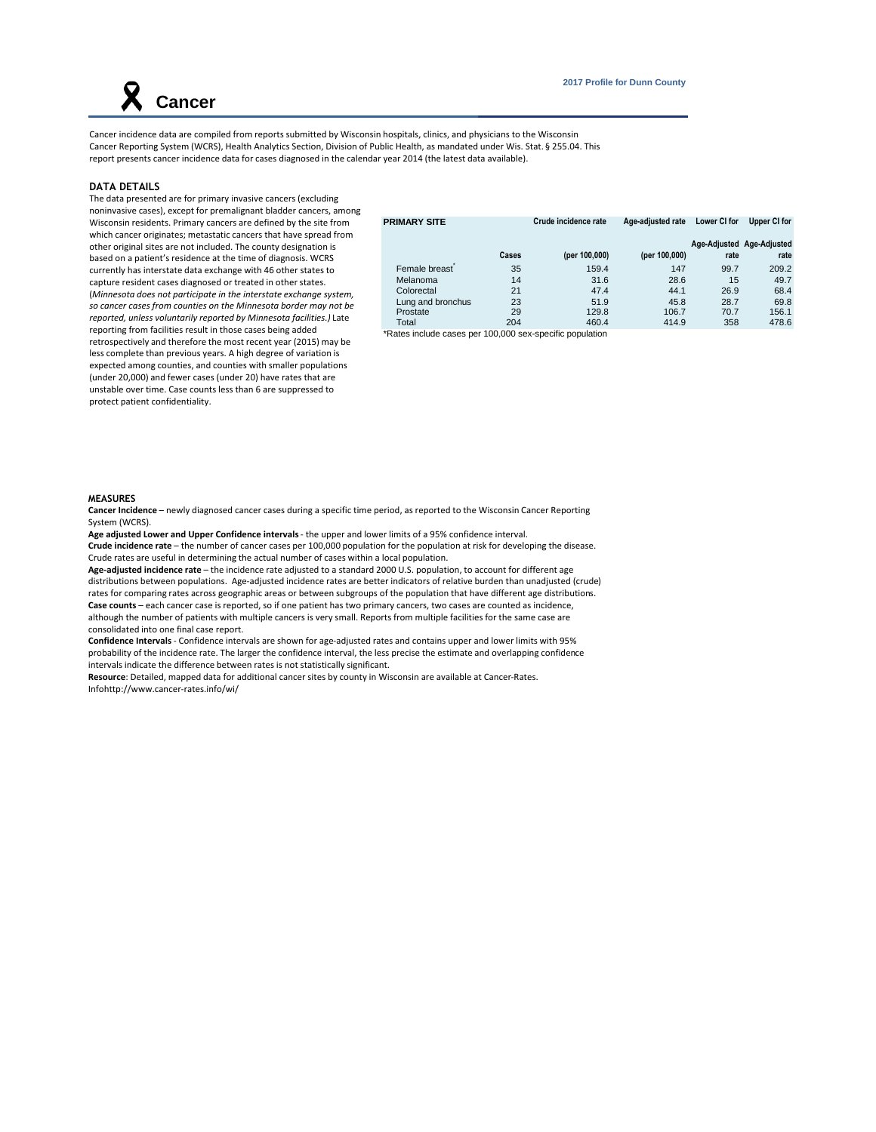Cancer incidence data are compiled from reports submitted by Wisconsin hospitals, clinics, and physicians to the Wisconsin Cancer Reporting System (WCRS), Health Analytics Section, Division of Public Health, as mandated under Wis. Stat. § 255.04. This report presents cancer incidence data for cases diagnosed in the calendar year 2014 (the latest data available).

#### **DATA DETAILS**

 **Cancer** 

The data presented are for primary invasive cancers (excluding noninvasive cases), except for premalignant bladder cancers, among Wisconsin residents. Primary cancers are defined by the site from which cancer originates; metastatic cancers that have spread from other original sites are not included. The county designation is based on a patient's residence at the time of diagnosis. WCRS currently has interstate data exchange with 46 other states to capture resident cases diagnosed or treated in other states. (*Minnesota does not participate in the interstate exchange system, so cancer cases from counties on the Minnesota border may not be reported, unless voluntarily reported by Minnesota facilities.)* Late reporting from facilities result in those cases being added retrospectively and therefore the most recent year (2015) may be less complete than previous years. A high degree of variation is expected among counties, and counties with smaller populations (under 20,000) and fewer cases (under 20) have rates that are unstable over time. Case counts less than 6 are suppressed to protect patient confidentiality.

| <b>PRIMARY SITE</b> |       | Crude incidence rate | Age-adiusted rate | Lower CI for | Upper CI for              |
|---------------------|-------|----------------------|-------------------|--------------|---------------------------|
|                     |       |                      |                   |              | Age-Adjusted Age-Adjusted |
|                     | Cases | (per 100,000)        | (per 100,000)     | rate         | rate                      |
| Female breast       | 35    | 159.4                | 147               | 99.7         | 209.2                     |
| Melanoma            | 14    | 31.6                 | 28.6              | 15           | 49.7                      |
| Colorectal          | 21    | 47.4                 | 44.1              | 26.9         | 68.4                      |
| Lung and bronchus   | 23    | 51.9                 | 45.8              | 28.7         | 69.8                      |
| Prostate            | 29    | 129.8                | 106.7             | 70.7         | 156.1                     |
| Total               | 204   | 460.4                | 414.9             | 358          | 478.6                     |

\*Rates include cases per 100,000 sex-specific population

#### **MEASURES**

**Cancer Incidence** – newly diagnosed cancer cases during a specific time period, as reported to the Wisconsin Cancer Reporting System (WCRS).

**Age adjusted Lower and Upper Confidence intervals** - the upper and lower limits of a 95% confidence interval. **Crude incidence rate** – the number of cancer cases per 100,000 population for the population at risk for developing the disease. Crude rates are useful in determining the actual number of cases within a local population.

**Age-adjusted incidence rate** – the incidence rate adjusted to a standard 2000 U.S. population, to account for different age distributions between populations. Age-adjusted incidence rates are better indicators of relative burden than unadjusted (crude) rates for comparing rates across geographic areas or between subgroups of the population that have different age distributions. **Case counts** – each cancer case is reported, so if one patient has two primary cancers, two cases are counted as incidence, although the number of patients with multiple cancers is very small. Reports from multiple facilities for the same case are consolidated into one final case report.

**Confidence Intervals** - Confidence intervals are shown for age-adjusted rates and contains upper and lower limits with 95% probability of the incidence rate. The larger the confidence interval, the less precise the estimate and overlapping confidence intervals indicate the difference between rates is not statistically significant.

**Resource**: Detailed, mapped data for additional cancer sites by county in Wisconsin are available at Cancer-Rates. Infohttp://www.cancer-rates.info/wi/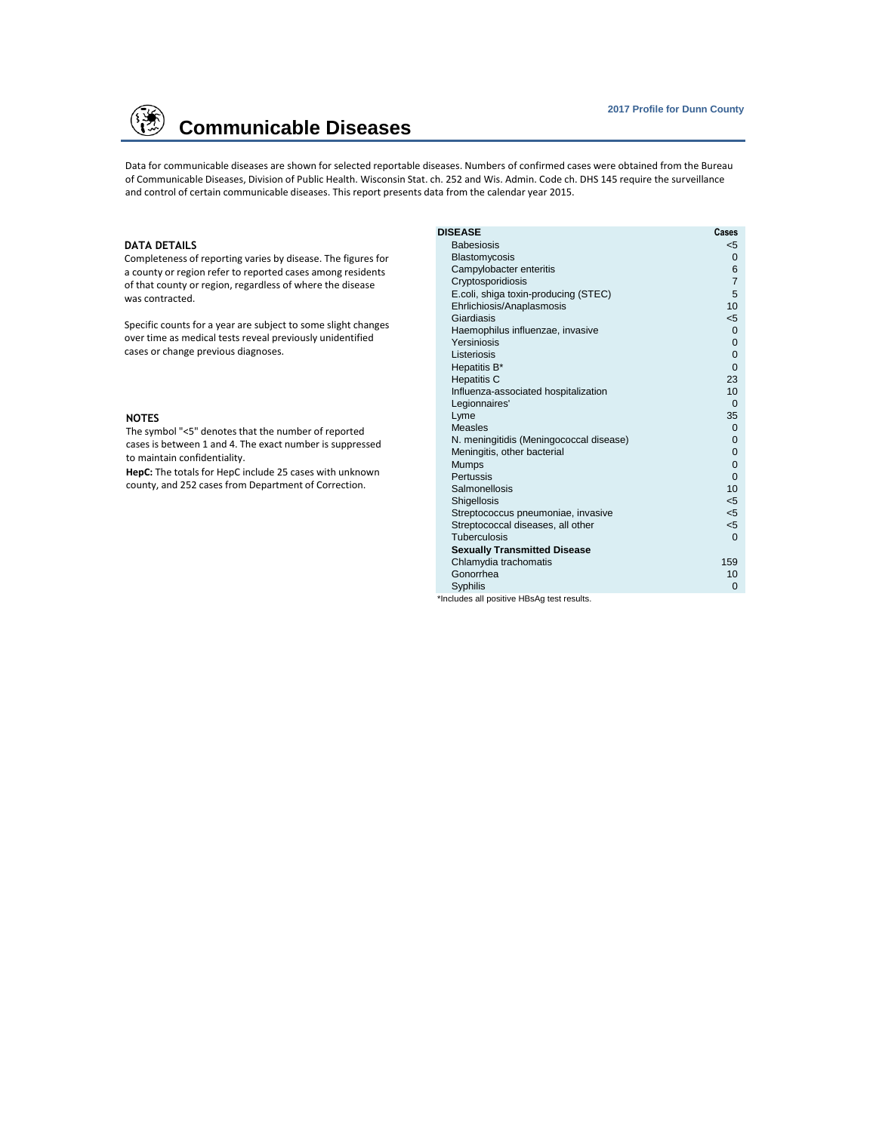

# **Communicable Diseases**

Data for communicable diseases are shown for selected reportable diseases. Numbers of confirmed cases were obtained from the Bureau of Communicable Diseases, Division of Public Health. Wisconsin Stat. ch. 252 and Wis. Admin. Code ch. DHS 145 require the surveillance and control of certain communicable diseases. This report presents data from the calendar year 2015.

## **DATA DETAILS**

Completeness of reporting varies by disease. The figures for a county or region refer to reported cases among residents of that county or region, regardless of where the disease was contracted.

Specific counts for a year are subject to some slight changes over time as medical tests reveal previously unidentified cases or change previous diagnoses.

#### **NOTES**

The symbol "<5" denotes that the number of reported cases is between 1 and 4. The exact number is suppressed to maintain confidentiality.

**HepC:** The totals for HepC include 25 cases with unknown county, and 252 cases from Department of Correction.

| <b>DISEASE</b>                             | Cases           |
|--------------------------------------------|-----------------|
| <b>Babesiosis</b>                          | $<$ 5           |
| Blastomycosis                              | $\mathbf 0$     |
| Campylobacter enteritis                    | 6               |
| Cryptosporidiosis                          | $\overline{7}$  |
| E.coli, shiga toxin-producing (STEC)       | 5               |
| Ehrlichiosis/Anaplasmosis                  | 10              |
| Giardiasis                                 | $<$ 5           |
| Haemophilus influenzae, invasive           | $\mathbf{0}$    |
| Yersiniosis                                | $\mathbf{0}$    |
| Listeriosis                                | $\overline{0}$  |
| Hepatitis B*                               | $\Omega$        |
| <b>Hepatitis C</b>                         | 23              |
| Influenza-associated hospitalization       | 10 <sup>1</sup> |
| Legionnaires'                              | $\Omega$        |
| Lyme                                       | 35              |
| <b>Measles</b>                             | $\mathbf 0$     |
| N. meningitidis (Meningococcal disease)    | $\overline{0}$  |
| Meningitis, other bacterial                | $\mathbf{0}$    |
| <b>Mumps</b>                               | $\overline{0}$  |
| Pertussis                                  | $\overline{0}$  |
| Salmonellosis                              | 10              |
| <b>Shigellosis</b>                         | $<$ 5           |
| Streptococcus pneumoniae, invasive         | $<$ 5           |
| Streptococcal diseases, all other          | $<$ 5           |
| Tuberculosis                               | $\Omega$        |
| <b>Sexually Transmitted Disease</b>        |                 |
| Chlamydia trachomatis                      | 159             |
| Gonorrhea                                  | 10              |
| <b>Syphilis</b>                            | $\Omega$        |
| *Includes all positive HBsAq test results. |                 |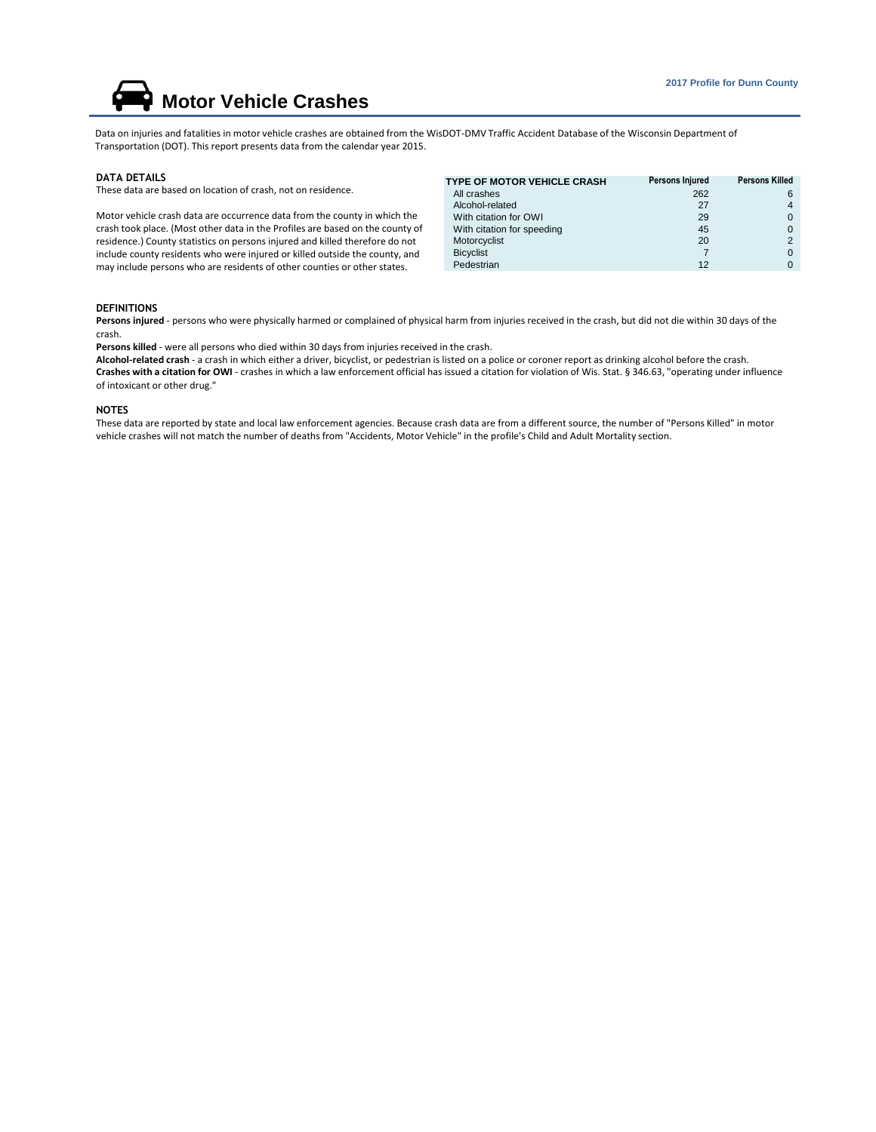# **Motor Vehicle Crashes**

Data on injuries and fatalities in motor vehicle crashes are obtained from the WisDOT-DMV Traffic Accident Database of the Wisconsin Department of Transportation (DOT). This report presents data from the calendar year 2015.

#### **DATA DETAILS**

These data are based on location of crash, not on residence.

Motor vehicle crash data are occurrence data from the county in which the crash took place. (Most other data in the Profiles are based on the county of residence.) County statistics on persons injured and killed therefore do not include county residents who were injured or killed outside the county, and may include persons who are residents of other counties or other states.

| TYPE OF MOTOR VEHICLE CRASH | Persons Injured | <b>Persons Killed</b> |
|-----------------------------|-----------------|-----------------------|
| All crashes                 | 262             | 6                     |
| Alcohol-related             | 27              | 4                     |
| With citation for OWI       | 29              | 0                     |
| With citation for speeding  | 45              | 0                     |
| Motorcyclist                | 20              | $\overline{2}$        |
| <b>Bicyclist</b>            |                 | 0                     |
| Pedestrian                  | 12              | 0                     |
|                             |                 |                       |

#### **DEFINITIONS**

**Persons injured** - persons who were physically harmed or complained of physical harm from injuries received in the crash, but did not die within 30 days of the crash.

**Persons killed** - were all persons who died within 30 days from injuries received in the crash.

**Alcohol-related crash** - a crash in which either a driver, bicyclist, or pedestrian is listed on a police or coroner report as drinking alcohol before the crash. **Crashes with a citation for OWI** - crashes in which a law enforcement official has issued a citation for violation of Wis. Stat. § 346.63, "operating under influence of intoxicant or other drug."

### **NOTES**

These data are reported by state and local law enforcement agencies. Because crash data are from a different source, the number of "Persons Killed" in motor vehicle crashes will not match the number of deaths from "Accidents, Motor Vehicle" in the profile's Child and Adult Mortality section.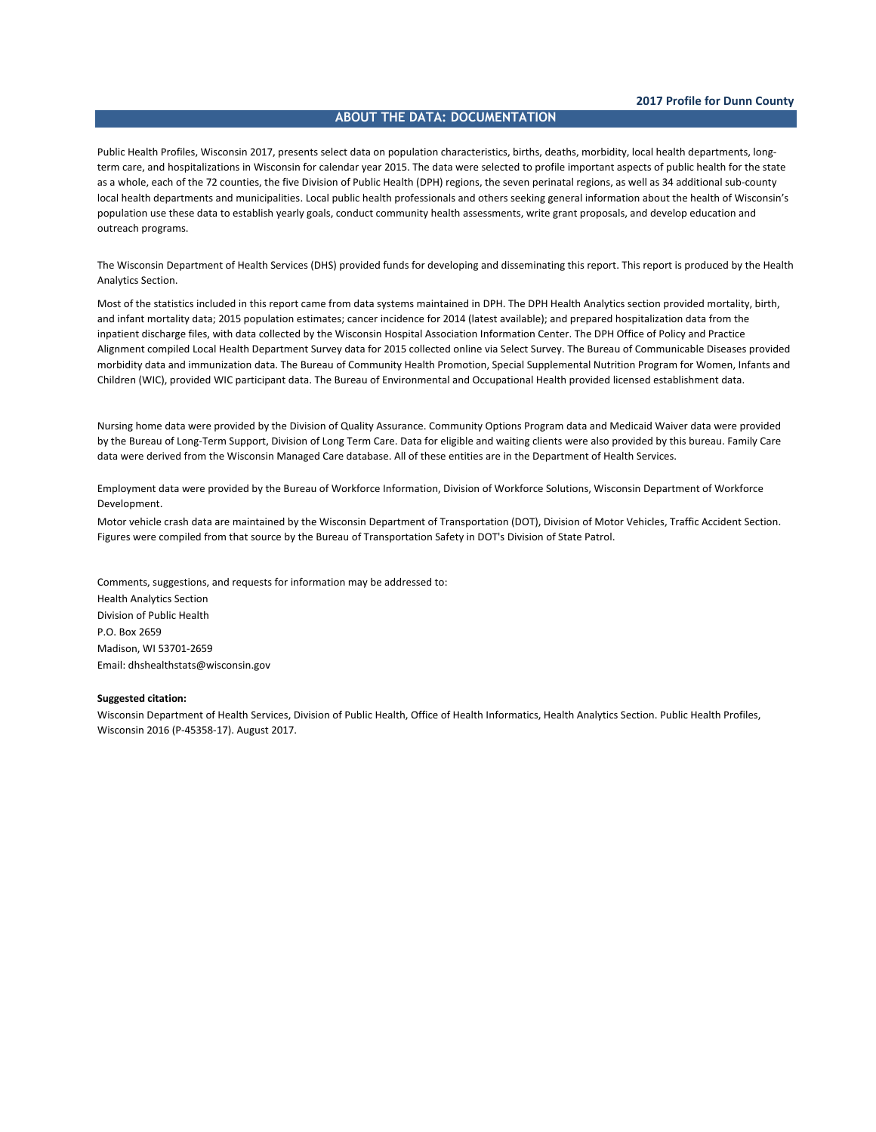## **ABOUT THE DATA: DOCUMENTATION**

Public Health Profiles, Wisconsin 2017, presents select data on population characteristics, births, deaths, morbidity, local health departments, longterm care, and hospitalizations in Wisconsin for calendar year 2015. The data were selected to profile important aspects of public health for the state as a whole, each of the 72 counties, the five Division of Public Health (DPH) regions, the seven perinatal regions, as well as 34 additional sub-county local health departments and municipalities. Local public health professionals and others seeking general information about the health of Wisconsin's population use these data to establish yearly goals, conduct community health assessments, write grant proposals, and develop education and outreach programs.

The Wisconsin Department of Health Services (DHS) provided funds for developing and disseminating this report. This report is produced by the Health Analytics Section.

Most of the statistics included in this report came from data systems maintained in DPH. The DPH Health Analytics section provided mortality, birth, and infant mortality data; 2015 population estimates; cancer incidence for 2014 (latest available); and prepared hospitalization data from the inpatient discharge files, with data collected by the Wisconsin Hospital Association Information Center. The DPH Office of Policy and Practice Alignment compiled Local Health Department Survey data for 2015 collected online via Select Survey. The Bureau of Communicable Diseases provided morbidity data and immunization data. The Bureau of Community Health Promotion, Special Supplemental Nutrition Program for Women, Infants and Children (WIC), provided WIC participant data. The Bureau of Environmental and Occupational Health provided licensed establishment data.

Nursing home data were provided by the Division of Quality Assurance. Community Options Program data and Medicaid Waiver data were provided by the Bureau of Long-Term Support, Division of Long Term Care. Data for eligible and waiting clients were also provided by this bureau. Family Care data were derived from the Wisconsin Managed Care database. All of these entities are in the Department of Health Services.

Employment data were provided by the Bureau of Workforce Information, Division of Workforce Solutions, Wisconsin Department of Workforce Development.

Motor vehicle crash data are maintained by the Wisconsin Department of Transportation (DOT), Division of Motor Vehicles, Traffic Accident Section. Figures were compiled from that source by the Bureau of Transportation Safety in DOT's Division of State Patrol.

Comments, suggestions, and requests for information may be addressed to: Health Analytics Section Division of Public Health P.O. Box 2659 Madison, WI 53701-2659 Email: dhshealthstats@wisconsin.gov

## **Suggested citation:**

Wisconsin Department of Health Services, Division of Public Health, Office of Health Informatics, Health Analytics Section. Public Health Profiles, Wisconsin 2016 (P-45358-17). August 2017.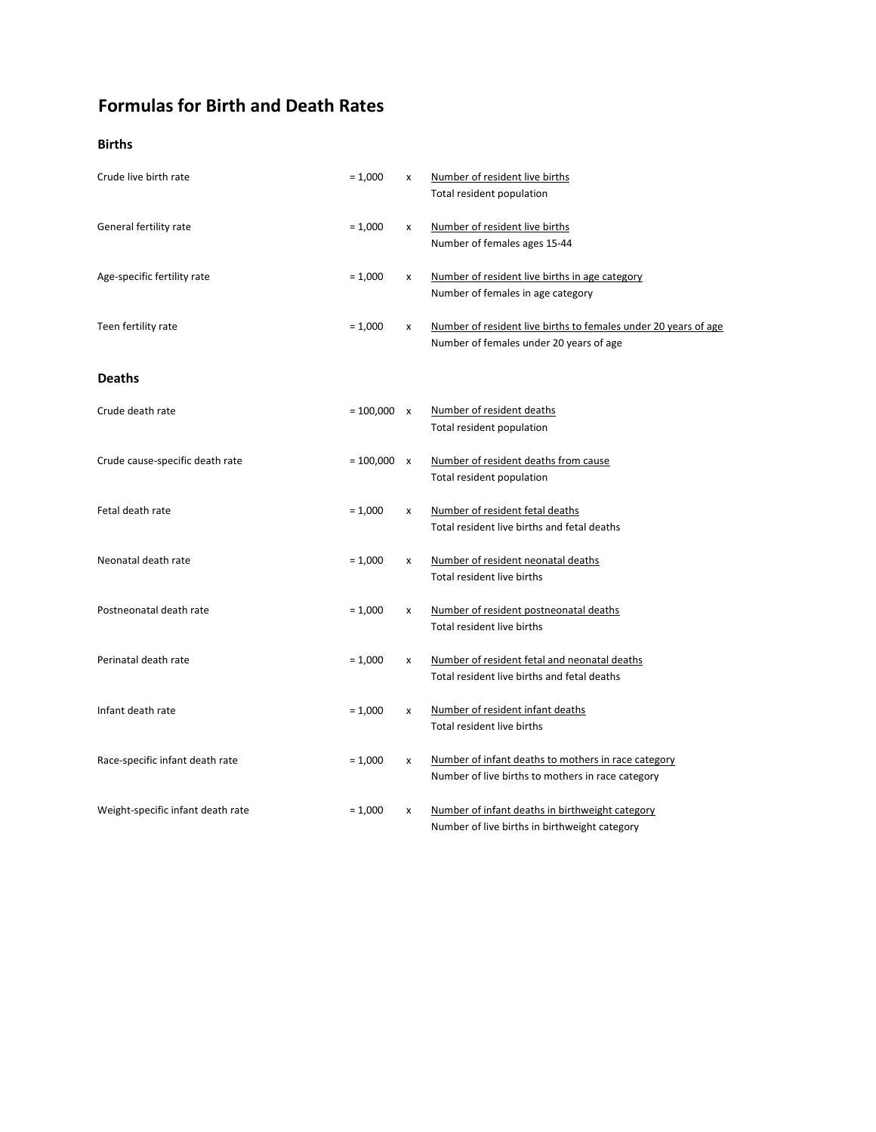# **Formulas for Birth and Death Rates**

## **Births**

| Crude live birth rate             | $= 1,000$          | x | Number of resident live births<br>Total resident population                                                |
|-----------------------------------|--------------------|---|------------------------------------------------------------------------------------------------------------|
| General fertility rate            | $= 1,000$          | X | Number of resident live births<br>Number of females ages 15-44                                             |
| Age-specific fertility rate       | $= 1,000$          | x | Number of resident live births in age category<br>Number of females in age category                        |
| Teen fertility rate               | $= 1,000$          | x | Number of resident live births to females under 20 years of age<br>Number of females under 20 years of age |
| <b>Deaths</b>                     |                    |   |                                                                                                            |
| Crude death rate                  | $= 100,000 \times$ |   | Number of resident deaths<br>Total resident population                                                     |
| Crude cause-specific death rate   | $= 100,000 \times$ |   | Number of resident deaths from cause<br>Total resident population                                          |
| Fetal death rate                  | $= 1,000$          | x | Number of resident fetal deaths<br>Total resident live births and fetal deaths                             |
| Neonatal death rate               | $= 1,000$          | x | Number of resident neonatal deaths<br>Total resident live births                                           |
| Postneonatal death rate           | $= 1,000$          | x | Number of resident postneonatal deaths<br>Total resident live births                                       |
| Perinatal death rate              | $= 1,000$          | x | Number of resident fetal and neonatal deaths<br>Total resident live births and fetal deaths                |
| Infant death rate                 | $= 1,000$          | x | Number of resident infant deaths<br>Total resident live births                                             |
| Race-specific infant death rate   | $= 1,000$          | x | Number of infant deaths to mothers in race category<br>Number of live births to mothers in race category   |
| Weight-specific infant death rate | $= 1,000$          | x | Number of infant deaths in birthweight category<br>Number of live births in birthweight category           |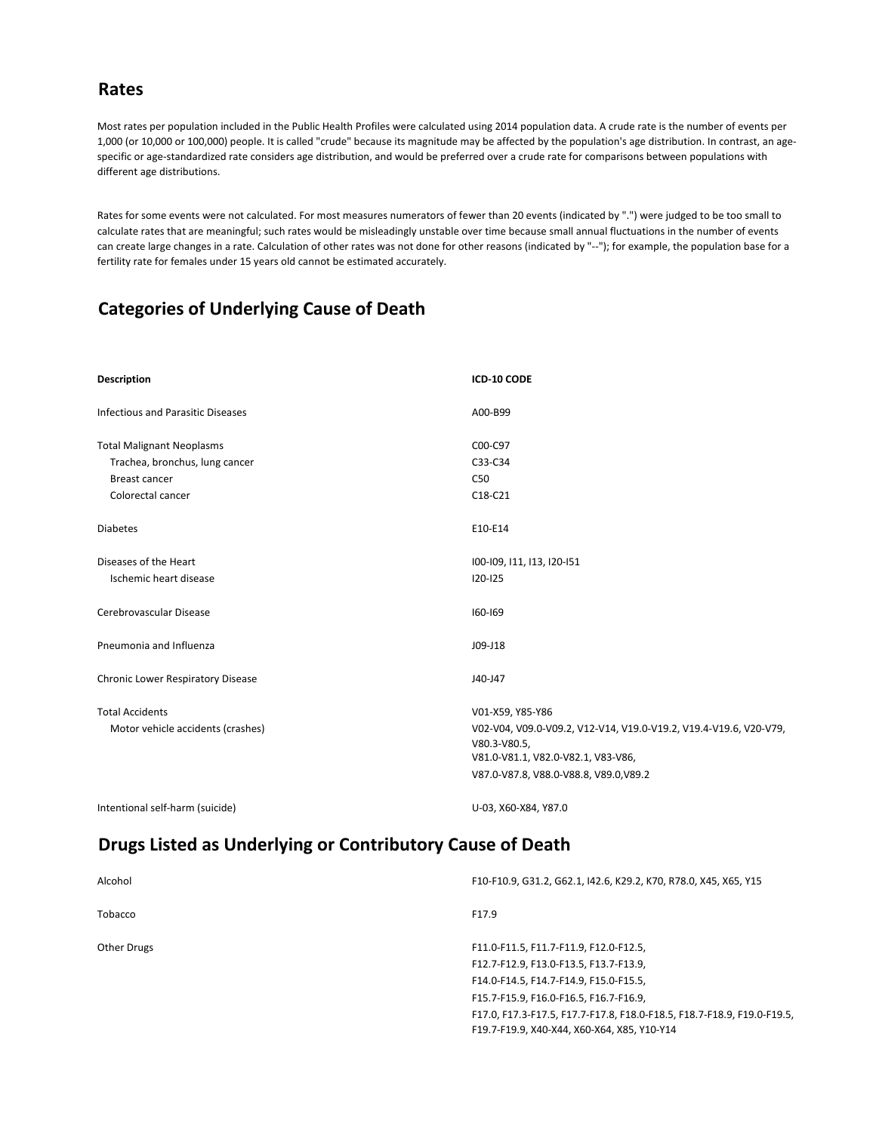# **Rates**

Most rates per population included in the Public Health Profiles were calculated using 2014 population data. A crude rate is the number of events per 1,000 (or 10,000 or 100,000) people. It is called "crude" because its magnitude may be affected by the population's age distribution. In contrast, an agespecific or age-standardized rate considers age distribution, and would be preferred over a crude rate for comparisons between populations with different age distributions.

Rates for some events were not calculated. For most measures numerators of fewer than 20 events (indicated by ".") were judged to be too small to calculate rates that are meaningful; such rates would be misleadingly unstable over time because small annual fluctuations in the number of events can create large changes in a rate. Calculation of other rates was not done for other reasons (indicated by "--"); for example, the population base for a fertility rate for females under 15 years old cannot be estimated accurately.

# **Categories of Underlying Cause of Death**

| <b>Description</b>                       | ICD-10 CODE                                                       |
|------------------------------------------|-------------------------------------------------------------------|
| <b>Infectious and Parasitic Diseases</b> | A00-B99                                                           |
| <b>Total Malignant Neoplasms</b>         | C00-C97                                                           |
| Trachea, bronchus, lung cancer           | C33-C34                                                           |
| <b>Breast cancer</b>                     | C <sub>50</sub>                                                   |
| Colorectal cancer                        | C18-C21                                                           |
|                                          |                                                                   |
| <b>Diabetes</b>                          | E10-E14                                                           |
| Diseases of the Heart                    | 100-109, 111, 113, 120-151                                        |
|                                          |                                                                   |
| Ischemic heart disease                   | $120 - 125$                                                       |
| Cerebrovascular Disease                  | $160 - 169$                                                       |
| Pneumonia and Influenza                  | $J09-J18$                                                         |
| <b>Chronic Lower Respiratory Disease</b> | J40-J47                                                           |
| <b>Total Accidents</b>                   | V01-X59, Y85-Y86                                                  |
| Motor vehicle accidents (crashes)        | V02-V04, V09.0-V09.2, V12-V14, V19.0-V19.2, V19.4-V19.6, V20-V79, |
|                                          | V80.3-V80.5,                                                      |
|                                          | V81.0-V81.1, V82.0-V82.1, V83-V86,                                |
|                                          | V87.0-V87.8, V88.0-V88.8, V89.0, V89.2                            |
|                                          |                                                                   |

Intentional self-harm (suicide) and the self-harm (suicide) and the self-harm (suicide) and the self-harm (suicide)

# **Drugs Listed as Underlying or Contributory Cause of Death**

| Alcohol            | F10-F10.9, G31.2, G62.1, I42.6, K29.2, K70, R78.0, X45, X65, Y15        |
|--------------------|-------------------------------------------------------------------------|
| Tobacco            | F17.9                                                                   |
| <b>Other Drugs</b> | F11.0-F11.5, F11.7-F11.9, F12.0-F12.5,                                  |
|                    | F12.7-F12.9, F13.0-F13.5, F13.7-F13.9,                                  |
|                    | F14.0-F14.5, F14.7-F14.9, F15.0-F15.5,                                  |
|                    | F15.7-F15.9, F16.0-F16.5, F16.7-F16.9,                                  |
|                    | F17.0, F17.3-F17.5, F17.7-F17.8, F18.0-F18.5, F18.7-F18.9, F19.0-F19.5, |
|                    | F19.7-F19.9, X40-X44, X60-X64, X85, Y10-Y14                             |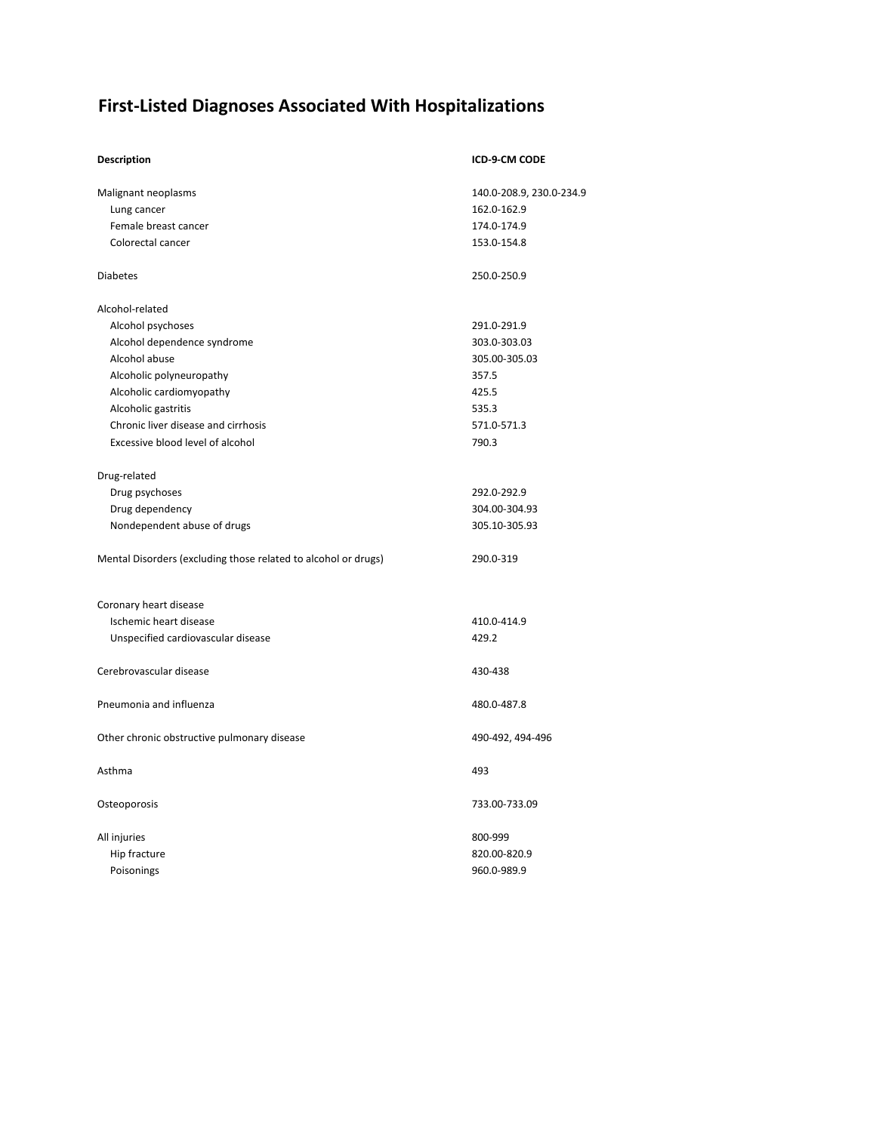# **First-Listed Diagnoses Associated With Hospitalizations**

| <b>Description</b>                                             | ICD-9-CM CODE            |
|----------------------------------------------------------------|--------------------------|
| Malignant neoplasms                                            | 140.0-208.9, 230.0-234.9 |
| Lung cancer                                                    | 162.0-162.9              |
| Female breast cancer                                           | 174.0-174.9              |
| Colorectal cancer                                              | 153.0-154.8              |
| <b>Diabetes</b>                                                | 250.0-250.9              |
| Alcohol-related                                                |                          |
| Alcohol psychoses                                              | 291.0-291.9              |
| Alcohol dependence syndrome                                    | 303.0-303.03             |
| Alcohol abuse                                                  | 305.00-305.03            |
| Alcoholic polyneuropathy                                       | 357.5                    |
| Alcoholic cardiomyopathy                                       | 425.5                    |
| Alcoholic gastritis                                            | 535.3                    |
| Chronic liver disease and cirrhosis                            | 571.0-571.3              |
| Excessive blood level of alcohol                               | 790.3                    |
| Drug-related                                                   |                          |
| Drug psychoses                                                 | 292.0-292.9              |
| Drug dependency                                                | 304.00-304.93            |
| Nondependent abuse of drugs                                    | 305.10-305.93            |
| Mental Disorders (excluding those related to alcohol or drugs) | 290.0-319                |
| Coronary heart disease                                         |                          |
| Ischemic heart disease                                         | 410.0-414.9              |
| Unspecified cardiovascular disease                             | 429.2                    |
| Cerebrovascular disease                                        | 430-438                  |
| Pneumonia and influenza                                        | 480.0-487.8              |
| Other chronic obstructive pulmonary disease                    | 490-492, 494-496         |
| Asthma                                                         | 493                      |
| Osteoporosis                                                   | 733.00-733.09            |
| All injuries                                                   | 800-999                  |
| Hip fracture                                                   | 820.00-820.9             |
| Poisonings                                                     | 960.0-989.9              |